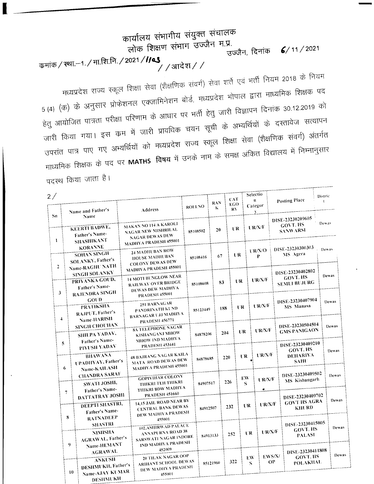# कार्यालय संभागीय संयुक्त संचालक लोक शिक्षण संभाग उज्जैन म.प्र. उज्जैन, दिनांक  $6/11/2021$ कमांक / स्था.–1. / मा.शि.नि. / 2021 / //43 ,<br>/ / आदेश / */*

मध्यप्रदेश राज्य स्कूल शिक्षा सेवा (शैक्षणिक संवर्ग) सेवा शर्ते एवं भर्ती नियम 2018 के नियम 5 (4) (क) के अनुसार प्रोफेशनल एक्जामिनेशन बोर्ड, मध्यप्रदेश भोपाल द्वारा माध्यमिक शिक्षक पद हेतु आयोजित पात्रता परीक्षा परिणाम के आधार पर भर्ती हेतु जारी विज्ञापन दिनांक 30.12.2019 को जारी किया गया। इस कम में जारी प्रावधिक चयन सूची के अभ्यर्थियों के दस्तावेज सत्यापन उपरांत पात्र पाए गए अभ्यर्थियों को मध्यप्रदेश राज्य स्कूल शिक्षा सेवा (शैक्षणिक संवर्ग) अंतर्गत माध्यमिक शिक्षक के पद पर MATHS विषय में उनके नाम के समक्ष अंकित विद्यालय में निम्नानुसार पदरथ किया जाता है।

| $2$ /        |                | Name and Father's                                                                                                                                                              | Address                                                                                                   | ROLLNO   | <b>RAN</b><br>K | CAT<br><b>EGO</b><br>RY |         | Selectio<br>$\mathbf{n}$<br>Categor<br>Ÿ           |              | Posting Place                                                         | Distric<br>$\ddot{\mathbf{r}}$ |       |
|--------------|----------------|--------------------------------------------------------------------------------------------------------------------------------------------------------------------------------|-----------------------------------------------------------------------------------------------------------|----------|-----------------|-------------------------|---------|----------------------------------------------------|--------------|-----------------------------------------------------------------------|--------------------------------|-------|
| Sn           |                | Name<br><b>KEERTI BADWE,</b><br>Father's Name-                                                                                                                                 | MAKAN NO 114 A KAROLI<br>NAGAR NEW MISHRILAL<br><b>NAGAR DEWAS DEW</b>                                    |          | 20<br>85108502  |                         | UR.     | UR/NF                                              |              | DISE-23230209605<br>GOVT. HS<br><b>SANWARSI</b>                       | Dewas                          |       |
| $\mathbf{I}$ |                | <b>SHASHIKANT</b><br>MADHYA PRADESH 455001<br><b>KORANNE</b><br>24 MADHUBAN ROW<br><b>SOHAN SINGH</b><br><b>HOUSE MADHUBAN</b><br>SOLANKY, Father's<br><b>COLONY DEWAS DEW</b> |                                                                                                           | 85108416 | 67              |                         | UR.     | $V$ R/X/O<br>P                                     |              | DISE-23230300303<br>MS Agera                                          |                                | Dewas |
|              | $\overline{2}$ | Name-RAGHU NATH<br><b>SINGH SOLANKY</b><br>PRIYANKA GOUD,<br>Father's Name-                                                                                                    | MADHYA PRADESH 455001<br>14 MOTI BUNGLOW NEAR<br><b>RAILWAY OVER BRIDGE</b><br>DEWAS DEW MADHYA           | 85108608 |                 | UR<br>83                |         | UR/X/F                                             |              | DISE-23230402802<br>GOVT. HS<br><b>SEMLI BUJURG</b>                   | Dewas                          |       |
|              | 3              | RAJENDRA SINGH<br>GOUD<br><b>PRATIKSHA</b><br>RAJPUT, Father's                                                                                                                 | <b>PRADESH 455001</b><br>251 BARNAGAR<br>PANDRINATH KUND<br><b>BARNAGAR UJJ MADHYA</b>                    | 85123449 |                 | 188                     | UR      | UR/X/F                                             |              | DISE-23230407904<br><b>MS Manasa</b>                                  |                                | Dewas |
|              | 4              | Name-HARISH<br><b>SINGH CHOUHAN</b><br>SHILPA YADAV,<br>Father's Name-                                                                                                         | <b>PRADESH 456771</b><br><b>8A TELEPHONE NAGAR</b><br>KISHANGANJ MHOW<br>MHOW IND MADHYA                  | 84878206 |                 | 204                     | UR      | UR/X/F                                             |              | DISE-23230504504<br><b>GMS PANIGAON</b>                               |                                | Dewas |
|              | 5              | PIYUSH YADAV<br><b>BHAWANA</b><br><b>UPADHYAY, Father's</b>                                                                                                                    | <b>PRADESH 453441</b><br>48 BAJRANG NAGAR KAILA<br>MATA ROAD DEWAS DEW                                    | 84878685 |                 | 220                     | UR.     | UR/X/F                                             |              | DISE-23230409210<br><b>GOVT. HS</b><br><b>DEHARIYA</b><br><b>SAHU</b> |                                | Dewas |
|              | 6              | Name-KAILASH<br><b>CHANDRA SARAF</b><br>SWATI JOSHI,<br>Father's Name-                                                                                                         | MADHYA PRADESH 455001<br><b>GOPIVIHAR COLONY</b><br>THIKRI TEH THIKRI<br>THIKRI BDW MADHYA                |          | 84907517        | 226                     | EW<br>S | $\mathbf{U}\mathbf{R}/\mathbf{X}/\mathbf{F}$<br>÷. |              | DISE-23230409502<br>MS Kishangarh                                     |                                | Dewas |
|              | $\overline{7}$ | <b>DATTATRAY JOSHI</b><br>DEEPTI SHASTRI,<br>Father's Name-                                                                                                                    | <b>PRADESH 451660</b><br>14,15 JAIL ROAD NEAR BY<br><b>CENTRAL BANK DEWAS</b><br>DEW MADHYA PRADESH       |          | 84912507        | 232                     |         | U R/X/F<br>UR                                      |              | DISE-23230409702<br><b>GOVT HS AGRA</b><br><b>KHURD</b>               |                                | Dewas |
|              | 8              | <b>RATNADEEP</b><br><b>SHASTRI</b><br><b>NIMISHA</b><br><b>AGRAWAL, Father's</b>                                                                                               | 455001<br>102, ASHIRWAD PALACE<br><b>ANNAPURNA ROAD 38</b><br>SARSWATI NAGAR INDORE<br>IND MADHYA PRADESH |          | 84913133        | 252                     |         | UR.                                                | UR/X/F       | DISE-23230415005<br>GOVT. HS<br><b>PALASI</b>                         |                                | Dewas |
|              |                | 9<br>Name-HEMANT<br><b>AGRAWAL</b><br><b>ANKUSH</b>                                                                                                                            | 452009<br>20 TILAK NAGAR OOP<br>ARIHANT SCHOOL DEWAS                                                      |          | 85121960        |                         | 322     | EW<br>S                                            | EWS/X/<br>ОP | DISE-23230411808<br>GOVT. HS<br><b>POLAKHAL</b>                       |                                | Dewa  |
|              |                | DESHMUKH, Father's<br>Name-AJAY KUMAR<br>10<br>DESHMUKH                                                                                                                        | DEW MADHYA PRADESH<br>455001                                                                              |          |                 |                         |         |                                                    |              |                                                                       |                                |       |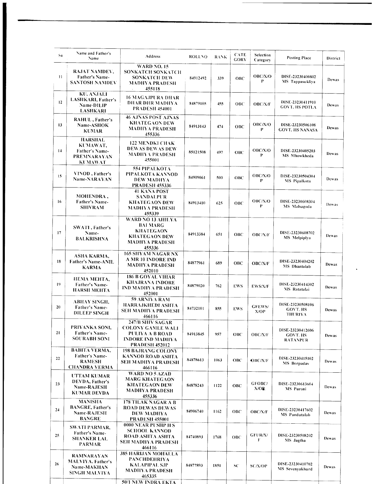| Sn      | Name and Father's<br>Name                                                              | Address                                                                                                       | <b>ROLLNO</b> | <b>RANK</b> | <b>CATE</b><br><b>GORY</b> | Selection<br>Category               | <b>Posting Place</b>                                   | District |
|---------|----------------------------------------------------------------------------------------|---------------------------------------------------------------------------------------------------------------|---------------|-------------|----------------------------|-------------------------------------|--------------------------------------------------------|----------|
| $_{11}$ | RAJAT NAMDEV.<br><b>Father's Name-</b><br>SANTOSH NAMDEV                               | <b>WARD NO. 15</b><br>SONKATCH SONKATCH<br>SONKATCH DEW<br><b>MADHYA PRADESH</b><br>455118<br>$\sim$          | 84912492      | 339         | OBC                        | OBC/X/O<br>P                        | DISE-23230400802<br>MS Tappasukliya                    | Dewas    |
| 12      | KU. ANJALI<br>LASHKARI, Father's<br>Name-DILIP<br><b>LASHKARI</b>                      | 16 MAGAJPURA DHAR<br><b>DHAR DHR MADHYA</b><br><b>PRADESH 454001</b>                                          | 84879105      | 455         | OBC                        | <b>OBC/X/F</b>                      | DISE-23230411910<br><b>GOVT. HS POTLA</b>              | Dewas    |
| 13      | RAHUL, Father's<br>Name-ASHOK<br><b>KUMAR</b>                                          | <b>46 AJNAS POST AJNAS</b><br><b>KHATEGAON DEW</b><br>MADHYA PRADESH<br>455336                                | 84913143      | 474         | OBC                        | OBC/X/O<br>P                        | DISE-23230506108<br><b>GOVT. HS NANASA</b>             | Dewas    |
| 14      | <b>HARSHAL</b><br>KUMAWAT,<br>Father's Name-<br>PREMNARAYAN<br><b>KUMAWAT</b>          | <b>122 MENDKI CHAK</b><br><b>DEWAS DEWAS DEW</b><br>MADHYA PRADESH<br>455001                                  | 85121508      | 497         | OBC                        | OBC/X/O<br>P                        | DISE-23230405203<br>MS Mhowkheda                       | Dewas    |
| 15      | VINOD, Father's<br><b>Name-NARAYAN</b>                                                 | <b>554 PIPALKOTA</b><br>PIPALKOTA KANNOD<br>DEW MADHYA<br><b>PRADESH 455336</b>                               | 84909061      | 500         | ОВС                        | OBC/X/O<br>P                        | DISE-23230504304<br>MS Pipalkota                       | Dewas    |
| 16      | <b>MOHENDRA,</b><br><b>Father's Name-</b><br><b>SHIVRAM</b>                            | <b>41 KANA POST</b><br><b>SANDALPUR</b><br><b>KHATEGAON DEW</b><br>MADHYA PRADESH<br>455339                   | 84913410      | 625         | ОВС                        | OBC/X/O<br>P                        | DISE-23230608304<br><b>MS</b> Malsagoda                | Dewas    |
| 17      | SWATI, Father's<br>Name-<br>BALKRISHNA                                                 | WARD NO 13 AHILYA<br><b>BAI MARG</b><br><b>KHATEGAON</b><br>KHATEGAON DEW<br>MADHYA PRADESH<br>455336         | 84913384      | 651         | ОВС                        | OBC/N/F                             | DISE-23230608702<br><b>MS</b> Melpiplya                | Dewas    |
| 18      | ASHA KARMA,<br><b>Father's Name-ANIL</b><br><b>KARMA</b>                               | <b>165 SHYAM NAGAR NX</b><br>A MR 10 INDORE IND<br><b>MADHYA PRADESH</b><br>452010                            | 84877961      | 689         | OBC                        | <b>OBC/X/F</b>                      | DISE-23230404202<br>MS Dhantalab                       | Dewas    |
| 19      | НЕМА МЕНТА,<br>Father's Name-<br>HARSH MEHTA                                           | <b>186 B GOYAL VIHAR</b><br>KHAJRANA INDORE<br><b>IND MADHYA PRADESH</b><br>452001                            | 84879020      | 762         | <b>EWS</b>                 | <b>EWS/X/F</b>                      | DISE-23230414302<br>MS Ratatalai                       | Dewas    |
| 20      | ABHAY SINGH,<br><b>Father's Name-</b><br><b>DILEEP SINGH</b>                           | 59 ARNIYA RAM<br>HARRAJKHEDI ASHTA<br>SEH MADHYA PRADESH<br>466116                                            | 84732101      | 855         | <b>EWS</b>                 | GFEWS/<br>X/OP                      | DISE-23230508106<br><b>GOVT. HS</b><br><b>THURIYA</b>  | Dewas    |
| 21      | PRIYANKA SONI,<br>Father's Name-<br><b>SOURABH SONI</b>                                | 247/B SHIV SAGAR<br><b>COLONY GAMLE WALL</b><br>PULIYA A B ROAD<br>INDORE IND MADHYA<br><b>PRADESH 452012</b> | 84913845      | 957         | ОВС                        | <b>OBC/X/F</b>                      | DISE-23230412606<br><b>GOVT. HS</b><br><b>RATANPUR</b> | Dewas    |
| 22      | <b>BABITA VERMA.</b><br><b>Father's Name-</b><br><b>RAMESH</b><br><b>CHANDRA VERMA</b> | <b>198 BAJRANG COLONY</b><br>KANNOD ROAD ASHTA<br>SEH MADHYA PRADESH<br>466116                                | 84878613      | 1063        | OBC                        | OBC/X/F                             | DISE-23230415102<br>MS Borpadav                        | Dewas    |
| 23      | <b>UTTAM KUMAR</b><br><b>DEVDA</b> , Father's<br><b>Name-RAJESH</b><br>KUMAR DEVDA     | WARD NO 5 AZAD<br><b>MARG KHATEGAON</b><br><b>KHATEGAON DEW</b><br><b>MADHYA PRADESH</b><br>455336            | 84878243      | 1122        | ОВС                        | <b>GFOBC/</b><br>$X/O$ <sub>b</sub> | DISE-23230613604<br>MS Puroni                          | Dewas    |
| 24      | <b>MANISHA</b><br><b>BANGRE, Father's</b><br><b>Name-RAJESH</b><br><b>BANGRE</b>       | 178 TILAK NAGAR A B<br><b>ROAD DEWAS DEWAS</b><br>DEW MADHYA<br><b>PRADESH 455001</b>                         | 84906740      | 1162        | OBC                        | <b>OBC/X/F</b>                      | DISE-23230417602<br><b>MS</b> Pandutalab               | Dewas    |
| 25      | SWATI PARMAR,<br><b>Father's Name-</b><br>SHANKER LAL<br><b>PARMAR</b>                 | 0000 NEAR PUSHP H S<br>SCHOOL KANNOD<br><b>ROAD ASHTA ASHTA</b><br>SEH MADIIYA PRADESH<br>466116              | 84740893      | 1768        | <b>OBC</b>                 | GFUR/X/<br>F                        | DISE-23230508202<br>MS Jagtha                          | Dewas    |
| 26      | RAMNARAYAN<br>MALVIYA, Father's<br><b>Name-MAKHAN</b><br>SINGH MALVIYA                 | 385 HARIJAN MOHALLA<br><b>PANCHDEHRIYA</b><br><b>KALAPIPAL SJP</b><br>MADIIYA PRADESH<br>465335               | 84877893      | 1851        | SC                         | <b>SC/X/OP</b>                      | DISE-23230410702<br>MS Sevenyakhurd                    | Dewas    |
|         |                                                                                        | <b>50/1 NEW INDRA EKTA</b>                                                                                    |               |             |                            |                                     |                                                        |          |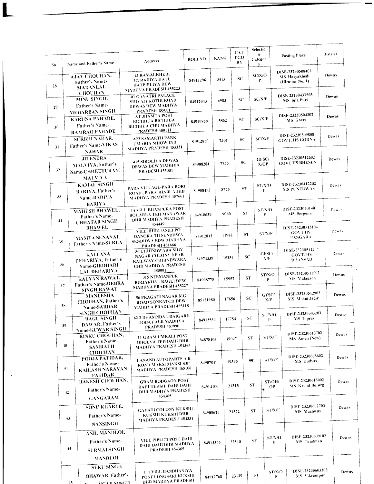| Sn              | Name and Father's Name                                                               | <b>Address</b>                                                                                                              | <b>ROLLNO</b> |                  | <b>RANK</b> | CAT<br>EGO<br>RY.  |                                           | Selectio<br>n<br>Categor<br>y. | <b>Posting Place</b>                                 | District     |
|-----------------|--------------------------------------------------------------------------------------|-----------------------------------------------------------------------------------------------------------------------------|---------------|------------------|-------------|--------------------|-------------------------------------------|--------------------------------|------------------------------------------------------|--------------|
| 28              | AJAY CHOUHAN,<br>Father's Name-<br><b>MADANLAL</b>                                   | 13 RAMALKHEDI<br><b>GURADIYA HATU</b><br><b>HATPIPLIYA DEW</b><br><b>MADHYA PRADESH 455223</b>                              | 84912296      |                  | 3413        | SC                 |                                           | SC/N/O<br>P                    | DISE-23230508402<br>MS Hasyakhedi<br>(Hirapur No. 1) | Dewas        |
| 29              | <b>CHOUHAN</b><br>MINU SINGH.<br>Father's Name-                                      | 01 GAYATRI PALACE<br>SHIVAJI KOTHI ROAD<br>DEWAS DEW MADHYA<br>PRADESH 455001                                               |               | 4983<br>84912043 |             | SC                 |                                           | SC/X/F                         | DISE-23230437503<br>MS Sita Puri                     | Dewas        |
| 30              | <b>MEHARBAN SINGH</b><br>KARUNA PAHADE,<br>Father's Name-                            | AT JHAMTA POST<br>ВІСННСА ВІСННСА<br><b>BICHHUA CHD MADHYA</b><br><b>PRADESH 480111</b>                                     |               | 5862<br>84910868 |             | SC                 |                                           | SC/N/F                         | DISE-23230504202<br>MS Kheri                         | Dewas        |
| 31              | <b>RAMRAO PAHADE</b><br><b>SURBHI NAHAR,</b><br><b>Father's Name-VIKAS</b>           | <b>A23 SAMARTH PARK</b><br>UMARIA MHOW IND<br>MADHYA PRADESH 453331                                                         |               | 84912850         | 7301        | SC<br>SC.          |                                           | SC/N/F                         | DISE-23230509808<br><b>GOVT. HS GODNA</b>            | Dewas        |
| 32              | NAHAR<br><b>JITENDRA</b><br>MALVIYA, Father's<br>Name-CHHEETURAM                     | <b>415 SIROLIYA DEWAS</b><br>DEWAS DEW MADHYA<br><b>PRADESH 455001</b>                                                      |               | 84908284         | 7735        |                    |                                           | GFSC/<br>X/OP                  | DISE-23230512602<br><b>GOVT HS BHESUN</b>            | Dewas        |
| 33              | <b>MALVIYA</b><br><b>KAMAL SINGH</b><br><b>BARIYA</b> , Father's<br>Name-BADIYA      | PARA VILLAGE-PARA BORI<br>ROAD, PARA JHABUA JHB<br><b>MADHYA PRADESH 457661</b>                                             |               | 84908453         |             | ST<br>8775         |                                           | ST/N/O<br>P                    | DISE-23230412202<br><b>MS PUNERWAS</b>               | Dewas        |
| 34              | <b>BARIYA</b><br><b>MAHESH BHAWEL,</b><br>Father's Name-<br><b>CHHATAR SINGH</b>     | 14 VILL BHANPURA POST<br><b>BOHARLA TEH MANAWAR</b><br>DHR MADHYA PRADESH                                                   |               | 84910639         | 9060        | <b>ST</b>          |                                           | ST/N/O<br>P                    | DISE-23230501401<br><b>MS</b> Sergona                | Dewas        |
| 35              | <b>BHAWEL</b><br><b>MAMTA SENANAI,</b><br><b>Father's Name-SURLA</b>                 | 454449<br>VILL JHIRIJAMLI PO<br>DANORA TH SENDHWA<br><b>SENDHWA BDW MADHYA</b><br><b>PRADESH 451666</b>                     |               | 84912813         |             | 11982              | ST/N/F<br><b>ST</b><br>GFSC/<br>SC<br>N/F |                                | DISE-23230513104<br><b>GOVT HS</b><br><b>PANGARA</b> | Dewas        |
| 36              | <b>KALPANA</b><br>DEHARIYA, Father's<br>Name-GIRDHARI                                | 56 CHIHNDWARA SHIV<br>NAGAR COLONY NEAR<br>RAILWAY CHHINDWARA<br><b>CHD MADHYA PRADESH</b><br>480001<br><b>LAL DEHARIYA</b> |               | 84974339         | 15254       |                    |                                           |                                | DISE-23230511307<br>GOVT. HS<br>DHANSAD              | Dewas        |
| 37              | KALYAN RAWAT,<br>Father's Name-DEBRA                                                 | 015 NEEMANPUR<br><b>BIRJAKHAL BAGLI DEW</b><br>MADHYA PRADESH 455227                                                        |               | 84908775         | 15557       |                    | ST/N/O<br><b>ST</b>                       |                                | DISE-23230511002<br>MS Malagaon                      | Dewas        |
| 38              | <b>SINGH RAWAT</b><br><b>MANEESHA</b><br>CHOUHAN, Father's<br>Name-SARDAR            | 56 PRAGATI NAGAR MG<br><b>ROAD SONKATCH DEW</b><br>MADHYA PRADESH 455118                                                    |               | 85121980         | 17656       |                    | SC                                        | GFSC/<br>X/F                   | DISE-23230512902<br>MS Mohai Jagir                   | Dewas        |
| 39              | <b>SINGH CHOUHAN</b><br><b>RAGU SINGH</b><br>DAWAR, Father's                         | 62 2 DHAMNDA UDAIGARH<br><b>JOBAT ALR MADHYA</b><br><b>PRADESH 457990</b>                                                   |               | 84912534         |             | 17754              | ST/N/O<br>${\cal S}{\cal T}$<br>P         |                                | DISE-23230503203<br>MS Tipras                        | Dewas        |
| 40              | Name-KUWAR SINGH<br>RINKU CHOUHAN,<br>Father's Name-<br><b>SAMRATH</b>               | <b>11 GRAM UMRALI POST</b><br>DHOLYA TEH DAHI DHR<br>MADHYA PRADESH 454365                                                  |               | 84878405         |             | 19047              | ST.                                       | ST/N/F                         | DISE-23230613702<br>MS Ameli (New)                   | Dewas        |
| 41              | <b>CHOUHAN</b><br>POOJA PATIDAR,<br>Father's Name-<br><b>KAILASH NARAYAN</b>         | <b>1 ANAND AUTOPARTS A B</b><br>ROAD MAKSI MAKSI SJP<br><b>MADHYA PRADESH 465106</b>                                        |               | 84907019         |             | 19595              | ST.                                       | ST/X/F                         | DISE-23230608602<br>MS Dudvas                        | Dewas        |
| 42              | <b>PATIDAR</b><br>RAKESH CHOUHAN,<br>Father's Name-<br><b>GANGARAM</b>               | <b>GRAM BODGAON POST</b><br>DAHI TEHSIL DAHI DAHI<br>DHR MADHYA PRADESH<br>454365                                           |               | 84914100         |             | <b>ST</b><br>21315 |                                           | ST/OH/<br>$\bullet$ OP         | DISE-23230618002<br>MS Krond Bujurg                  | Dewas        |
| 43              | SONU KHARTE,<br>Father's Name-<br><b>NANSINGH</b>                                    | <b>GAYATI COLONY KUKSHI</b><br>KUKSHI KUKSHI DHR<br>MADHYA PRADESH 454331                                                   |               | 84908626         |             | 21372              | <b>ST</b>                                 |                                | DISE-23230602703<br>ST/X/F<br>MS Machwas             | <b>Dewas</b> |
| 44              | ANIL MANDLOI,<br>Father's Name-<br><b>SURMALSINGH</b>                                | VILL PIPLUD POST DAHI<br>DAHI DAHI DHR MADHYA<br><b>PRADESH 454365</b>                                                      |               | 84913346         |             | 22540              | ${\bf ST}$                                |                                | DISE-23230609102<br>ST/X/O<br>MS Tamkhan<br>P        | Dewas        |
| 45 <sub>1</sub> | <b>MANDLOI</b><br><b>SEKU SINGH</b><br><b>BHAWAR</b> , Father's<br><b>DOAD CINCH</b> | <b>111 VILL BANDHANIYA</b><br>POST LONGSARI KUKSHI<br><b>DHR MADHYA PRADESH</b>                                             |               | 84912768         |             | 23139              |                                           | ST.                            | DISE-23230603303<br>ST/N/O<br>MS Vikrampur<br>P      | Dewas        |

 $\blacksquare$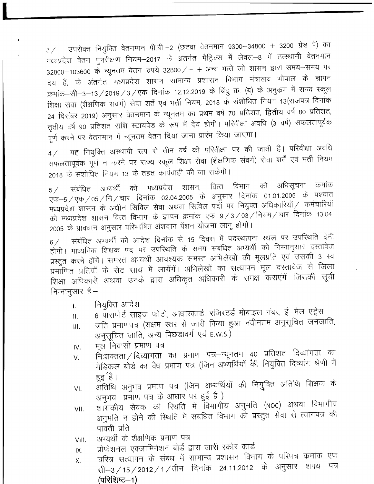$3\!\!\!/\,$  उपरोक्त नियुक्ति वेतनमान पी.बी.–2 (छटवां वेतनमान 9300–34800 + 3200 ग्रेड पे) का मध्यप्रदेश वेतन पुनरीक्षण नियम–2017 के अंतर्गत मैट्रिक्स में लेवल–8 में तत्स्थानी वेतनमान 32800–103600 के न्यूनतम वेतन रुपये 32800/- + अन्य भत्ते जो शासन द्वारा समय-समय पर देय हैं, के अंतर्गत मध्यप्रदेश शासन सामान्य प्रशासन विभाग मंत्रालय भोपाल के ज्ञापन क्रमांक–सी–3–13 / 2019 / 3 / एक दिनांक 12.12.2019 के बिंदु क्र. (ब) के अनुक्रम में राज्य स्कूल शिक्षा सेवा (शैक्षणिक संवर्ग) सेवा शर्तें एवं भर्ती नियम, 2018 के संशोधित नियम 13(राजपत्र दिनांक 24 दिसंबर 2019) अनुसार वेतनमान के न्यूनतम का प्रथम वर्ष 70 प्रतिशत, द्वितीय वर्ष 80 प्रतिशत, तृतीय वर्ष 90 प्रतिशत राशि स्टायपेंड के रूप में देय होगी। परिवीक्षा अवधि (3 वर्ष) सफलतापूर्वक पूर्ण करने पर वेतनमान में न्यूनतम वेतन दिया जाना प्रारंभ किया जाएगा।

यह नियुक्ति अस्थायी रूप से तीन वर्ष की परिवीक्षा पर की जाती है। परिवीक्षा अवधि  $4/$ सफलतापूर्वक पूर्ण न करने पर राज्य स्कूल शिक्षा सेवा (शैक्षणिक संवर्ग) सेवा शर्तें एवं भर्ती नियम 2018 के संशोधित नियम 13 के तहत कार्यवाही की जा सकेंगी।

संबंधित अभ्यर्थी को मध्यप्रदेश शासन, वित्त विभाग की अधिसूचना क्रमांक  $5/$ एफ–5 / एक / 05 / नि / चार दिनांक 02.04.2005 के अनुसार दिनांक 01.01.2005 के पश्चात मध्यप्रदेश शासन के अधीन सिविल सेवा अथवा सिविल पदों पर नियुक्त अधिकारियों / कर्मचारियों को मध्यप्रदेश शासन वित्त विभाग के ज्ञापन क्रमांक एफ-9/3/03/नियम/चार दिनांक 13.04. 2005 के प्रावधान अनुसार परिभाषित अंशदान पेंशन योजना लागू होगी।

संबंधित अभ्यर्थी को आदेश दिनांक से 15 दिवस में पदस्थापना स्थल पर उपस्थिति देनी  $6/$ होगी। माध्यमिक शिक्षक पद पर उपरिथति के समय संबंधित अभ्यर्थी को निम्नानुसार दरतावेज प्रस्तुत करने होंगें। समस्त अभ्यर्थी आवश्यक समस्त अभिलेखों की मूलप्रति एवं उसकी 3 स्व प्रमाणित प्रतियों के सेट साथ में लायेंगें। अभिलेखों का सत्यापन मूल दस्तावेज से जिला शिक्षा अधिकारी अथवा उनके द्वारा अधिकृत अधिकारी के समक्ष कराएंगें जिसकी सूची निम्नानुसार है:-

- नियुक्ति आदेश L.
- 6 पासपोर्ट साइज फोटो, आधारकार्ड, रजिस्टर्ड मोबाइल नंबर, ई—मेल एड्रेस  $II.$
- जति प्रमाणपत्र (सक्षम स्तर से जारी किया हुआ नवीनतम अनुसूचित जनजाति, Ш. अनुसूचित जाति, अन्य पिछड़ावर्ग एवं E.W.S.)
- मूल निवासी प्रमाण पत्र IV.
- निःशक्तता / दिव्यांगता का प्रमाण पत्र–न्यूनतम ४० प्रतिशत दिव्यांगता का V. मेडिकल बोर्ड का वैध प्रमाण पत्र (जिन अभ्यर्थियों की नियुक्ति दिव्यांग श्रेणी में हुइ 'है।
- अंतिथि अनुभव प्रमाण पत्र (जिन अभ्यर्थियों की नियुक्ति अतिथि शिक्षक के  $VI.$ अनुभव प्रमाण पत्र के आधार पर हुई है)
- शासकीय सेवक की रिथति में विभागीय अनुमति (NOC) अथवा विभागीय VII. अनुमति न होने की रिथति में संबंधित विभाग को प्रस्तुत सेवा से त्यागपत्र की पावती प्रति
- अभ्यर्थी के शैक्षणिक प्रमाण पत्र VIII.
- प्रोफेशनल एक्जामिनेशन बोर्ड द्वारा जारी स्कोर कार्ड IX.
- चरित्रं सत्यापन के संबंध में सामान्य प्रशासन विभाग के परिपत्र कमांक एफ  $X_{n}$ सी–3/15/2012/1/तीन दिनांक 24.11.2012 के अनुसार शपथ पत्र (परिशिष्ट–1)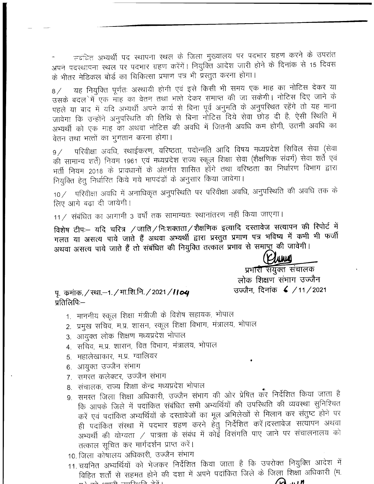त्त्वंदित अभ्यर्थी पद स्थापना स्थल के जिला मुख्यालय पर पदभार ग्रहण करने के उपरांत अपने पदस्थापना स्थल पर पदभार ग्रहण करेंगें। नियुक्ति आदेश जारी होने के दिनांक से 15 दिवस के भीतर मेडिकल बोर्ड का चिकित्सा प्रमाण पत्र भी प्रस्तुत करना होगा।

यह नियुक्ति पूर्णतः अस्थायी होगी एवं इसे किसी भी समय एक माह का नोटिस देकर या  $8/$ उसके बदल में एक माह का वेतन तथा भत्ते देकर समाप्त की जा सकेगी। नोटिस दिए जाने के पहले या बाद में यदि अभ्यर्थी अपने कार्य से बिना पूर्व अनुमति के अनुपरिथत रहेंगे तो यह माना जावेगा कि उन्होंने अनुपरिथति की तिथि से बिना नोटिस दिये सेवा छोड़ दी है, ऐसी रिथति में अभ्यर्थी को एक माह का अथवा नोटिस की अवधि में जितनी अवधि कम होगी, उतनी अवधि का वेतन तथा भत्तों का भुगतान करना होगा।

परिवीक्षा अवधि, स्थाईकरण, वरिष्ठता, पदोन्नति आदि विषय मध्यप्रदेश सिविल सेवा (सेवा  $9/$ की सामान्य शर्तें) नियम 1961 एवं मध्यप्रदेश राज्य स्कूल शिक्षा सेवा (शैक्षणिक संवर्ग) सेवा शर्ते एवं भर्ती नियम 2018 के प्रावधानों के अंतर्गत शासित होंगे तथा वरिष्ठता का निर्धारण विभाग द्वारा नियुक्ति हेतु निर्धारित किये गये मापदंडों के अनुसार किया जावेगा।

 $10$  / परिवीक्षा अवधि में अनाधिकृत अनुपरिथति पर परिवीक्षा अवधि, अनुपरिथति की अवधि तक के लिए आगे बढा दी जायेगी।

11 / संबंधित का आगामी 3 वर्षों तक सामान्यतः स्थानांतरण नहीं किया जाएगा।

विशेष टीपः- यदि चरित्र /जाति/निःशक्तता/शैक्षणिक इत्यादि दस्तावेज सत्यापन की रिपोर्ट में गलत या असत्य पाये जाते हैं अथवा अभ्यर्थी द्वारा प्रस्तुत प्रमाण पत्र भविष्य में कभी भी फर्जी अथवा असत्य पाये जाते हैं तो संबंधित की नियुक्ति तत्काल प्रभाव से समाप्नू की जावेगी।

**JAWA** 

प्रभारी संयुक्त संचालक लोक शिक्षण संभाग उज्जैन उज्जैन, दिनांक  $\leq$  /11/2021

पू. कमांक. / स्था.–1. / मा.शि.नि. / 2021 / **।। 04** प्रतिलिपिः—

- 1. माननीय स्कूल शिक्षा मंत्रीजी के विशेष सहायक, भोपाल
- 2. प्रमुख सचिव, म.प्र. शासन, स्कूल शिक्षा विभाग, मंत्रालय, भोपाल
- 3. आयुक्त लोक शिक्षण मध्यप्रदेश भोपाल
- 4. सचिव, म.प्र. शासन, वित विभाग, मंत्रालय, भोपाल
- 5. महालेखाकार, म.प्र. ग्वालियर
- 6. आयुक्त उज्जैन संभाग
- 7. समस्त कलेक्टर, उज्जैन संभाग
- 8. संचालक, राज्य शिक्षा केन्द्र मध्यप्रदेश भोपाल
- 9. समस्त जिला शिक्षा अधिकारी, उज्जैन संभाग की ओर प्रेषित कर निर्देशित किया जाता है कि आपके जिले में पदांकित संबंधित सभी अभ्यर्थियों की उपस्थिति की व्यवस्था सुनिश्चित करें एवं पदांकित अभ्यर्थियों के दस्तावेजों का मूल अभिलेखों से मिलान कर संतुष्ट होने पर ही पदांकित संस्था में पदभार ग्रहण करने हेतु निर्देशित करें।दस्तावेज सत्यापन अथवा अभ्यर्थी की योग्यता / पात्रता के संबंध में कोई विसंगति पाए जाने पर संचालनालय को तत्काल सूचित कर मार्गदर्शन प्राप्त करें।
- 10. जिला कोषालय अधिकारी, उज्जैन संभाग
- 11. चयनित अभ्यर्थियों को भेजकर निर्देशित किया जाता है कि उपरोक्त नियुक्ति आदेश में विहित शर्तों से सहमत होने की दशा में अपने पदांकित जिले के जिला शिक्षा अधिकारी (म.  $\sim$   $\sim$  $\overrightarrow{a}$   $\overrightarrow{a}$  and  $\overrightarrow{a}$  and  $\overrightarrow{a}$  and  $\overrightarrow{a}$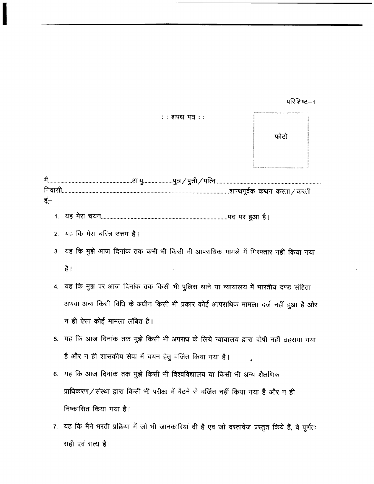## परिशिष्ट-1



| में | मै……………………………………………………आयु…………………पुत्र / पुत्री / पत्नि……………………………………………………………………… |  |
|-----|-----------------------------------------------------------------------------------|--|
|     |                                                                                   |  |
| हं— |                                                                                   |  |
|     |                                                                                   |  |

 $: 3.3$  शपथ पत्र  $: 3.3$ 

- 
- 2. यह कि मेरा चरित्र उत्तम है।
- 3. यह कि मुझे आज दिनांक तक कभी भी किसी भी आपराधिक मामले में गिरफ्तार नहीं किया गया है।
- 4. यह कि मुझ पर आज दिनांक तक किसी भी पुलिस थाने या न्यायालय में भारतीय दण्ड संहिता अथवा अन्य किसी विधि के अधीन किसी भी प्रकार कोई आपराधिक मामला दर्ज नहीं हुआ है और न ही ऐसा कोई मामला लंबित है।
- 5. यह कि आज दिनांक तक मुझे किसी भी अपराध के लिये न्यायालय द्वारा दोषी नहीं ठहराया गया है और न ही शासकीय सेवा में चयन हेतु वर्जित किया गया है।
- 6. यह कि आज दिनांक तक मुझे किसी भी विश्वविद्यालय या किसी भी अन्य शैक्षणिक प्राधिकरण / संस्था द्वारा किसी भी परीक्षा में बैठने से वर्जित नहीं किया गया है और न ही निष्कासित किया गया है।
- 7. यह कि मैने भरती प्रक्रिया में जो भी जानकारियां दी है एवं जो दस्तावेज प्रस्तुत किये हैं, वे पूर्णतः सही एवं सत्य है।